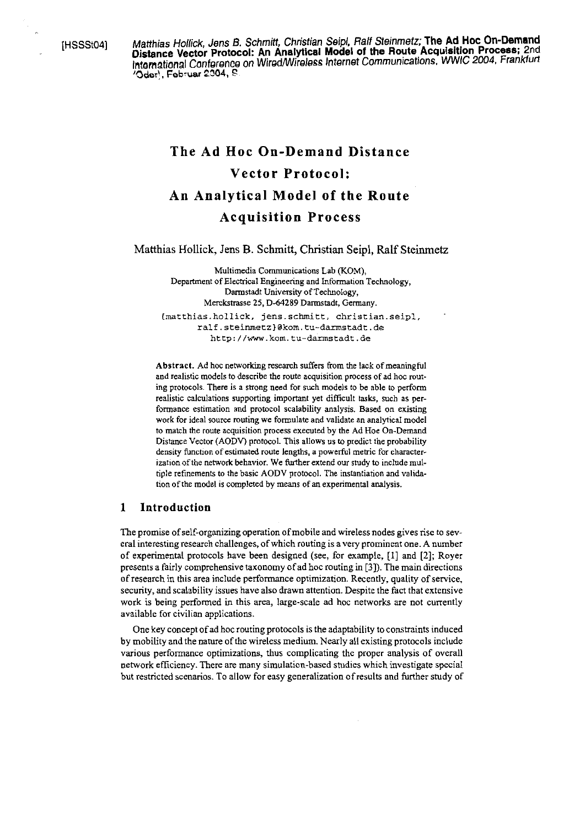[HSSSt04] **Maithias Hollick, Jens B. Schrniit, Christian Seipl, Ralf Steinmetz; The Ad Hoc On-Demand Distance Vector Protocol: An Anelytical Model of the Route Acqulsltion Process; 2nd International** . **Confarenca on WiradMliraless lnternet Cornrnunications. WWlC 2004. Frankfuri 'Ode;:. Februar 2504,** 

# **The Ad Hoc On-Demand Distance Vector Protocol: An Analytical Model of the Route Acquisition Process**

Matthias Hollick, Jens B. Schmitt, Christian Seipl, Ralf Steinmetz

Multimedia Communications Lab (KOM), Department of Electrical Engineering and Information Technology, Darmstadt University of Technology, Merckstrasse 25, D-64289 Darmstadt, Germany. (matthias.hollick, jens.schmitt, christian.seip1. **ralf.steinmetzl@korn.tu-darmstadt.de http://www.korn.tu-darmstadt.de** 

Abstract. Ad hoc networking research suffers from the lack of meaningful and realistic models to describe the route acquisition process of ad hoc routing protocols. There is a strong need for such models to be able to perform realistic calculations supporting important yet difficult tasks, such as performance estimation and protocol scalability analysis. Based on existing work for ideal source muting we formulate and validate an analytical model to match the route acquisition process executed by the Ad Hoe On-Demand Distance Vector (AODV) protocol. This allows us to predict the probability density function of estimated route lengths, a powerful metric for characterization of the network behavior. We further extend our study to include multiple refinements to the basic AODV protocol. The instantiation and validation of the model is completed by means of an experimental analysis.

# **1 Introduction**

The promise of self-organizing operation of mobile and wireless nodes gives rise to several interesting research challenges. of which routing is a very prominent one. A number of experimental protocols have been designed (see, for example, [I] and **[2];** Royer presents a fairly comprehensive taxonomy of ad hoc routing in **[3]).** The main diiections of research in this area include performance optimization. Recently, quality of service, security, and scalability issues have also drawn attention. Despite the fact that extensive work is being performed in this area, large-scale ad hoc networks are not currently available for civilian applications.

One key concept of ad hoc routing protocols is the adaptability to constraints induced by mobility and the nature of the wireless medium. Nearly all existing protocols include various performance optimizations, thus complicating thc proper analysis of overall network efficiency. There are many simulation-based studies which investigate special but restricted scenarios. To allow for easy generalization of results and further study of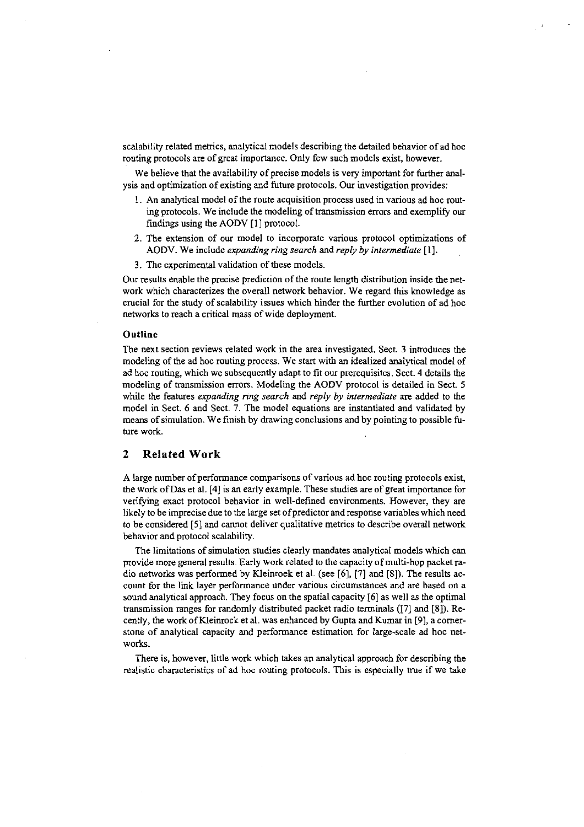scalability related metrics, analytical models describing the detailed behavior of ad hoc routing protocols are of great importance. Only few such models exist, however.

We believe that the availability of precise models is very important for further analysis and optimization of existing and future protocols. Our investigation provides:

- 1. An analytical model of the route acquisition process used in various ad boc routing protocols. We include the modeling of transmission errors and exemplify our findings using the AODV [I] protocol.
- 2. The extension of our model to incorporate various protocol optimizations of AODV. We include *expanding ring search* and *repiy by intermediate* [I].
- 3. The experimental validation of these models.

Our results enable the precise prediction of the route length distribution inside the network which cbaracterizes the overall network behavior. We regard this knowledge as crucial for the study of scalability issues which hinder the further evolution of ad hoc networks to reach a critical mass of wide deployment.

#### Outline

The next section reviews related work in the area investigated. Sect. 3 introduces the modeling of the ad hoc routing process. We Start with an idealized analytical model of ad hoc routing, which we subsequently adapt to fit our prerequisites. Sect. 4 details the modeling of transmission errors. Modeling the AODV protocol is detailed in Sect. 5 while the features *expanding nng search* and *repiy by intermediate* are added to the model in Sect. 6 and Sect. 7. The model equations are instantiated and validated by means of simulation. We finish by drawing conclusions and by pointing to possible future work.

#### **2 Related Work**

**A** large number of performance comparisons of various ad hoc routing protocols exist, the work of Das et al. [4] is an early example. These studies are of great importance for verifying exact protocol behavior in well-defined environments. However, they are likely to be imprecise due to the large set of predictor and response variables which need to be considered **[5]** and cannot deliver qualitative metrics to describe overall network behavior and protocol scalability.

The limitations of simulation studies clearly mandates analytical models which can provide more general results. Early workrelated to the capacity of multi-hop packet radio networks was performed by Kleimoek et al. (See 161, [7] and **[SI).** The results account for the link layer performance under various circumstances and are based on a sound analytical approach. They focus on the spatial capacity [6] as well as the optimal transmission ranges for randomly distributed packet radio terminals ([7] and 181). Recently, the work of Kleinrock et al. was enhanced by Gupta and Kumar in [9], a cornerstone of analytical capacity and performance estimation for large-scale ad hoc networks.

There is, however, little work which takes an analytical approach for describing the realistic characteristics of ad hoc routing protocols. This is especially true if we take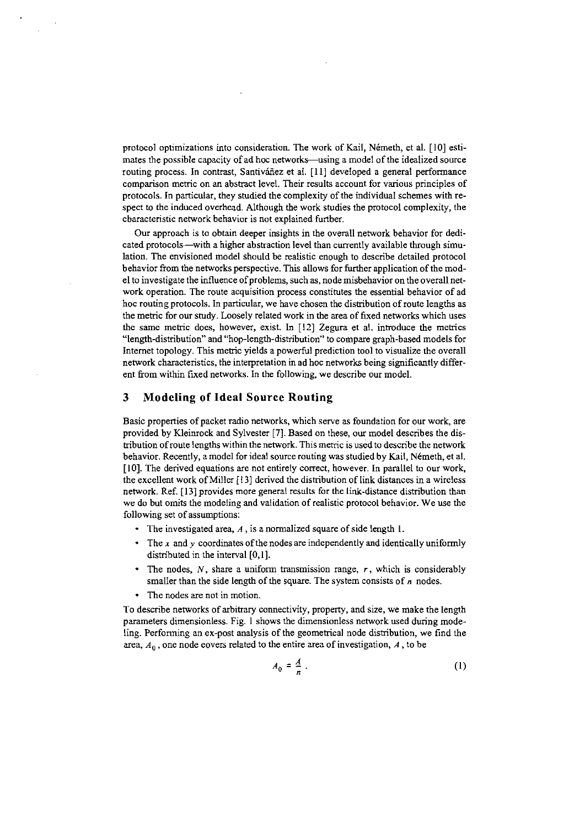protocol optimizations into consideration. The work of Kail, Nemeth, et al. [I01 estimates the possible capacity of ad hoc networks—using a model of the idealized source routing process. In contrast, Santiváñez et al. [11] developed a general performance comparison metric on an abstract level. Theu results account for various principles of protocols. In particular, they studied the complexity of the individual schemes with respect to the induced overhead. Although the work studies ihe protocol complexity, ihe cbaracteristic network behavior is not explained furtber.

Our approach is to obtain deeper insights in the overall network behavior for dedicated protocols—with a higher abstraction level than currently available through simulation. The envisioned model should be realistic enough to describe detailed protocol behavior from the networks perspective. This allows for further application of the model to investigate the influence of problems, such as, node misbehavior on the overall network operation. The route acquisition process constitutes the essential behavior of ad hoc routing protocols. in particular, we have chosen the distribution of route lengths as the metric for our study. Loosely related work in the area of fixed networks which uses the same metric does, however, exist. In  $[12]$  Zegura et al. introduce the metrics "length-distribution" and **"hop-length-distribution"** to compare graph-based models for Internet topology. This metric yields a powerful prediction tool to visualize the overall network characteristics, the interpretation in ad hoc networks being significantly different from within fixed networks. In the following, we describe our model.

### **3 Modeling of Ideal Source Routing**

Basic properties of packet radio networks, which serve as foundation for our work, are provided by Kleinrock and Sylvester **[7].** Based on these, our model describes the dishibution of route lengths within the network. This mehic is used to describe the network behavior. Recently, a model for ideal source routing was studied by Kail, Németh, et al. [IO]. The derived equations are not entirely correct, however. In parallel to our work, the excellent work of Miller  $[13]$  derived the distribution of link distances in a wireless network. Ref. [I31 provides more general results for the link-distance distribution than we do but omits the modeling and validation of realistic protocol behavior. We use the following set of assumptions:

- The investigated area, A, is a normalized square of side length 1.
- The  $x$  and  $y$  coordinates of the nodes are independently and identically uniformly  $\bullet$ distributed in the interval [0,1].
- The nodes, N, share a uniform transmission range, **r,** which is considerahly  $\bullet$ smaller than the side length of the square. The System consists of **n** nodes.
- The nodes are not in motion.

To describe networks of arbitrary connectivity, property, and size, we make the length Parameters dimensionless. Fig. 1 shows the dimensionless network used during modeling. Performing an ex-post analysis of the geometrical node distribution, we find the area,  $A_0$ , one node eovers related to the entire area of investigation,  $A$ , to be

$$
A_0 = \frac{A}{n} \tag{1}
$$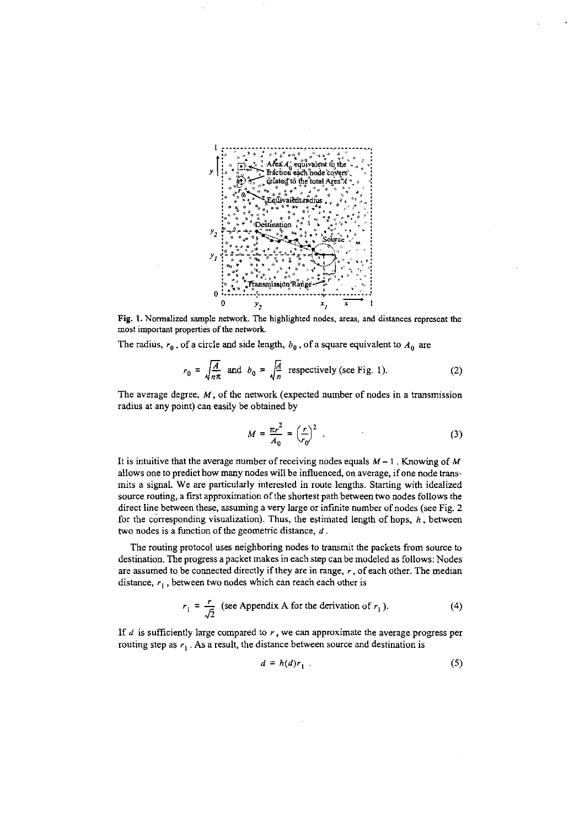

Fig. 1. Normalized sample network. The highlighted nodes, areas, and distances represent the most important properties of the network.

The radius,  $r_0$ , of a circle and side length,  $b_0$ , of a square equivalent to  $A_0$  are

$$
r_0 = \sqrt{\frac{A}{n\pi}}
$$
 and  $b_0 = \sqrt{\frac{A}{n}}$  respectively (see Fig. 1). (2)

The average degree,  $M$ , of the network (expected number of nodes in a transmission radius at any point) can easily be obtained by

$$
M = \frac{\pi r^2}{A_0} = \left(\frac{r}{r_0}\right)^2 \tag{3}
$$

It is intuitive that the average number of receiving nodes equals  $M-1$ . Knowing of M allows one to predict how many nodes will be influenced, on average, if one node **trans**mits a signal. We are particularly interested in route lengths. Starting with idealized source routing, a first approximation of the shortest path between two nodes follows the direct line between these, assuming a very large or infinite number of nodes (see Fig. 2 for the corresponding visualization). Thus, the estimated length of hops, *h* , between two nodes is a function of the geometric distance, *d*.

The routing protocol uses neighboring nodes to transmit the packets from source to destination. The progress apacket makes in each step can be modeled as follows: Nodes are assumed to be comected directly if they are in range, **r,** of each other. The median distance, **r,** , between two nodes which can reach each other is

$$
r_1 = \frac{r}{\sqrt{2}} \text{ (see Appendix A for the derivation of } r_1\text{).}
$$
 (4)

If *d* is sufficiently large compared to *r*, we can approximate the average progress per routing step as  $r_1$ . As a result, the distance between source and destination is

$$
d = h(d)r_1 \tag{5}
$$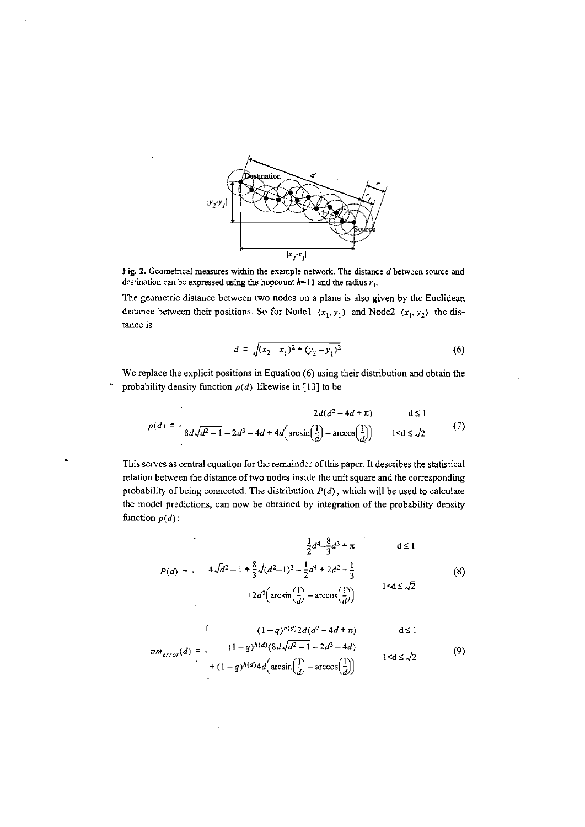

Fig. 2. Geometrical measures within the example network. The distance *d* between source and destination can be expressed using the hopcount  $h=11$  and the radius  $r_1$ .

The geometric distance between two nodes on a plane is also given by the Euclidean distance between their positions. So for Node1  $(x_1, y_1)$  and Node2  $(x_1, y_2)$  the distance is

$$
d = \sqrt{(x_2 - x_1)^2 + (y_2 - y_1)^2} \tag{6}
$$

We replace the explicit positions in Equation (6) using their distribution and obtain the probability density function  $p(d)$  likewise in [13] to be

$$
p(d) = \begin{cases} 2d(d^{2} - 4d + \pi) & d \le 1 \\ 8d\sqrt{d^{2} - 1} - 2d^{3} - 4d + 4d\left(\arcsin\left(\frac{1}{d}\right) - \arccos\left(\frac{1}{d}\right)\right) & 1 < d \le \sqrt{2} \end{cases}
$$
(7)

This serves as central equation for the remainder of this paper. It describes the statistical relation between the distance of two nodes inside the unit square and the corresponding probability of being connected. The distribution  $P(d)$ , which will be used to calculate the model predictions, can now he obtained by integration of the probability density function  $p(d)$  :

$$
P(d) = \begin{cases} \frac{\frac{1}{2}d^4 - \frac{8}{3}d^3 + \pi}{4\sqrt{d^2 - 1} + \frac{8}{3}\sqrt{(d^2 - 1)^3} - \frac{1}{2}d^4 + 2d^2 + \frac{1}{3} \\ + 2d^2\left(\arcsin\left(\frac{1}{d}\right) - \arccos\left(\frac{1}{d}\right)\right) \end{cases} 1 < d \le \sqrt{2}
$$
(8)

$$
pm_{error}(d) = \begin{cases} (1-q)^{h(d)} 2d(d^{2} - 4d + \pi) & d \le 1 \\ (1-q)^{h(d)} (8d\sqrt{d^{2} - 1} - 2d^{3} - 4d) \\ + (1-q)^{h(d)} 4d \left( \arcsin\left(\frac{1}{d}\right) - \arccos\left(\frac{1}{d}\right) \right) & 1 < d \le \sqrt{2} \end{cases}
$$
(9)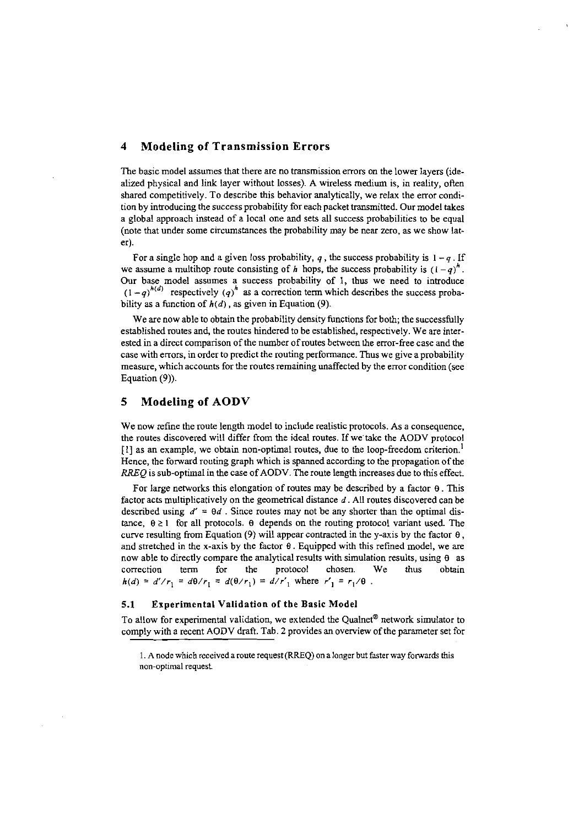# **4 Modeling of Transmission Errors**

The basic model assumes that there are no transmission errors on the lower layers (idealized physical and link layer without losses). A wireless medium is, in reality, often shared competitively. To descnbe this behavior analytically, we relax the error condition by inhoducing the success probability for each packet transmitted. Our model takes a global approach instead of a local one and sets all success probabilities to be equal (note that under some circumstances the probability may be near zero, as we show later).

For a single hop and a given loss probability, q, the success probability is  $1 - q$ . If we assume a multihop route consisting of h hops, the success probability is  $(1 - q)^h$ . Our base model assumes a success probability of 1, thus we need to introduce  $(1 - q)^{h(d)}$  respectively (q)<sup>h</sup> as a correction term which describes the success probability as a function of  $h(d)$ , as given in Equation (9).

We are now able to obtain the probability density functions for both; the successfully established routes and, the routes hindered to be established, respectively. We are interested in a direct comparison of the number of routes between the error-free case and the case with errors, in order to predict the routing perfomance. Thus we give a probability measure, which accounts for the routes remaining unaffected by the error condition (see Equation (9)).

#### **5 Modeling of AODV**

We now refine the route length model to include realistic protocols. As a consequence, the routes discovered will differ from the ideal routes. If wetake the AODV protocol  $[1]$  as an example, we obtain non-optimal routes, due to the loop-freedom criterion.<sup>1</sup> Hence, the fonuard routing graph which is spanned according to the propagation of the *RREQ* is sub-optimal in the case of AODV. The route length increases due to this effect.

For large networks this elongation of routes may be descnbed by a factor 8. This factor acts multiplicatively on the geometrical distance  $d$ . All routes discovered can be described using  $d' = \theta d$ . Since routes may not be any shorter than the optimal distance,  $\theta \ge 1$  for all protocols.  $\theta$  depends on the routing protocol variant used. The curve resulting from Equation (9) will appear contracted in the y-axis by the factor  $\theta$ , and stretched in the x-axis by the factor  $\theta$ . Equipped with this refined model, we are now able to directly compare the analytical results with simulation results, using  $\theta$  as correction term for the protocol chosen. We thus obtain  $h(d) = d'/r_1 = d\theta/r_1 = d(\theta/r_1) = d/r'_1$  where  $r'_1 = r_1/\theta$ .

#### **5.1** Experimental Validation of the Basic **Model**

To allow for experimental validation, we extended the Qualnet<sup>®</sup> network simulator to comply with a recent AODV draft. Tab. 2 provides an overview of the parameter set for

<sup>1.</sup> A node which received a route request (RREQ) on a longer but faster way forwards this non-optimal request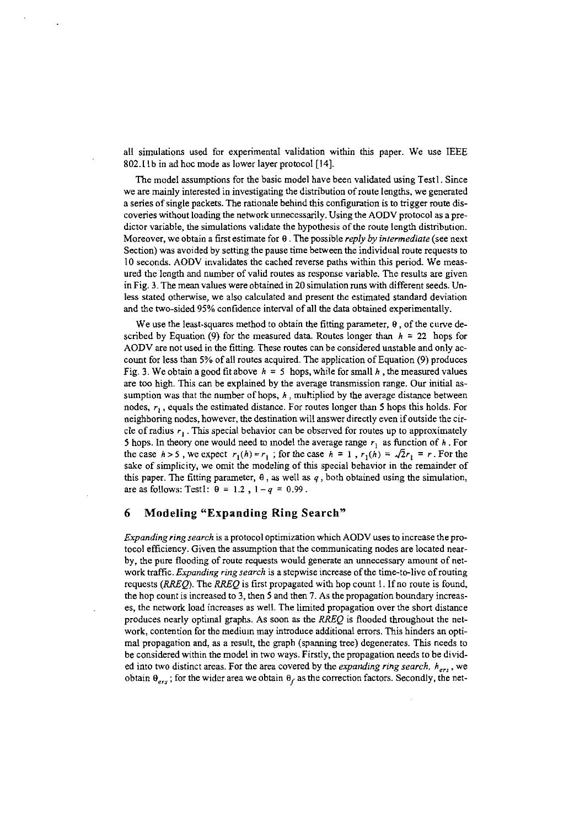all simulations used for experimenta1 validation within this paper. We use IEEE 802.1 Ib in **ad** hoc mode as lower layer protocol [14].

The model assumptions for the basic model have been validated using Testl. Since we are mainly interested in investigating the distribution of route lengths, we generated a series of Single packets. The rationale behind this configuration is to trigger route discoveries without loading the network unnecessarily. Using the AODV protocol as a predictor variable, the simulations validate the hypothesis of the route length distribution. Moreover, we obtain a first estimate for  $\theta$ . The possible *reply by intermediate* (see next Section) was avoided by setting the pause time between the individual route requests to 10 seconds. AODV invalidates the cached reverse paths within this period. We measured the length and number of valid routes as response variable. The results are given in Fig. 3. The mean values were obtained in 20 simulation runs with different seeds. Unless stated otherwise, we also calculated and present the estimated Standard deviation and the Wo-sided 95% confidence interval of all the data obtained experimentally.

We use the least-squares method to obtain the fitting parameter,  $\theta$ , of the curve described by Equation (9) for the measured data. Routes longer than  $h = 22$  hops for AODV are not used in the fitting. These routes can be considered unstable and only account for less than 5% of all routes acquired. The application of Equation (9) produces Fig. 3. We obtain a good fit above  $h = 5$  hops, while for small h, the measured values are too high. This can be explained by the average transmission range. Our initial assumption was that the number of hops, *h* , multiplied by the average distance between nodes, r, , equals the estimated distance. For routes longer than 5 hops this holds. For neighboring nodes, however, the destination will answer directly even if outside the circle of radius *r,* . This special behavior can be observed for routes up to approximately 5 hops. In theory one would need to inodel the average range *r,* as function of *h* . For the case  $h > 5$ , we expect  $r_1(h) \approx r_1$ ; for the case  $h = 1$ ,  $r_1(h) = \sqrt{2}r_1 = r$ . For the sake of simplicity, we omit the modeling of this special behavior in the remainder of this paper. The fitting parameter,  $\theta$ , as well as  $q$ , both obtained using the simulation, are as follows: Test1:  $\theta = 1.2$ ,  $1 - q = 0.99$ .

# **6 Modeling "Expanding Ring Search"**

*Expanding ring search* is a protocol optimization which AODV uses to increase the protocol efficiency. Given the assumption that the communicating nodes are located nearby, the pure flooding of route requests would generate an unnecessary amount of network traffic. *Expanding ringsearch* is a stepwise increase of the time-to-live of routing requests (RREQ). The RREQ is first propagated with hop count 1. If no route is found, the hop count is increased to 3, then 5 and then **7.** As the propagation boundary increases, the network load increases as well. The limited propagation over the short distance produces nearly optimal graphs. As soon as the **RREQ** is flooded throughout the network, contention for the medium may introduce additional errors. This hinders an optimal propagation and, as a result, the graph (spanning tree) degenerates. This needs to be considered within the model in two ways. Firstly, the propagation needs tobe divided into two distinct areas. For the area covered by the *expanding ring search,*  $h_{ers}$ , we obtain  $\theta_{ers}$ ; for the wider area we obtain  $\theta_f$  as the correction factors. Secondly, the net-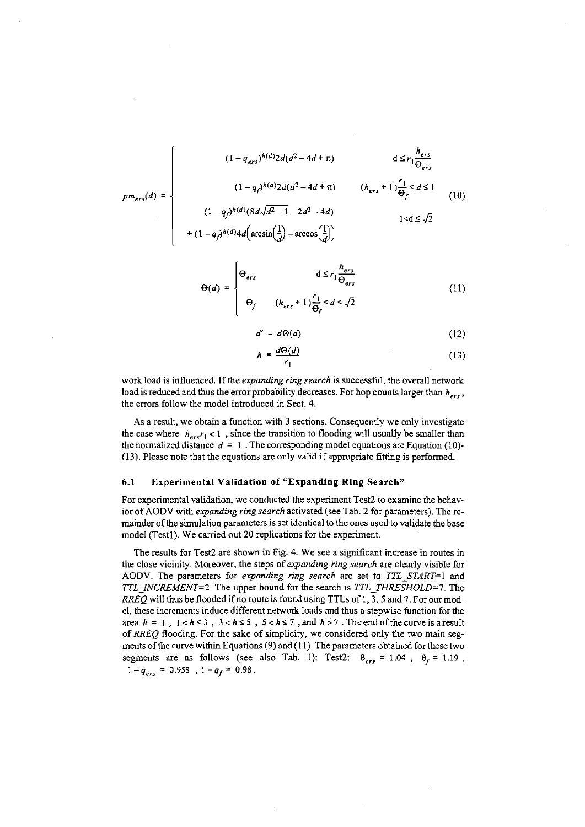$$
pm_{ers}(d) = \begin{cases} (1 - q_{ers})^{h(d)} 2d(d^2 - 4d + \pi) & d \le r_1 \frac{h_{ers}}{\Theta_{ers}} \\ (1 - q_f)^{h(d)} 2d(d^2 - 4d + \pi) & (h_{ers} + 1) \frac{r_1}{\Theta_f} \le d \le 1 \\ (1 - q_f)^{h(d)} (8d\sqrt{d^2 - 1} - 2d^3 - 4d) & 1 < d \le \sqrt{2} \\ + (1 - q_f)^{h(d)} 4d\left(\arcsin\left(\frac{1}{d}\right) - \arccos\left(\frac{1}{d}\right)\right) \end{cases}
$$
(10)

$$
\Theta(d) = \begin{cases} \Theta_{ers} & d \leq r_1 \frac{h_{ers}}{\Theta_{ers}} \\ \Theta_f & (h_{ers} + 1) \frac{r_1}{\Theta_f} \leq d \leq \sqrt{2} \end{cases}
$$
(11)

$$
t' = d\Theta(d) \tag{12}
$$

$$
h = \frac{d\Theta(d)}{r_1} \tag{13}
$$

work load is influenced. If the *expanding ring search* is successful, the overall network load is reduced and thus the error probability decreases. For hop counts larger than  $h_{\text{src}}$ , the errors follow the model introduced in Sect. 4.

As a result, we obtain a function with 3 sections. Consequently we only investigate the case where  $h_{ers}r_1 < 1$ , since the transition to flooding will usually be smaller than the normalized distance  $d = 1$ . The corresponding model equations are Equation (10)-(13). Please note that the equations are only valid if appropnate fithng is performed.

#### **6.1** Experimental Validation **of** "Expanding Ring Search"

á

For experimental validation, we conducted the experiment Test2 to examine the behavior of AODV with *expanding ring search* activated (see Tab. 2 for parameters). The remainder of the simulation parameters is set identical to the ones used to validate the base model (Testl). We carried out 20 replications for the experiment.

The results for Test2 are shown in Fig. 4. We see a significant increase in routes in the close vicinity. Moreover, the steps of *expanding ring search* are clearly visible for AODV. The parameters for *expanding ring search* are set to TTL-START=I and TTL INCREMENT=2. The upper bound for the search is TTL THRESHOLD=7. The RREQ will thus be flooded if no route is found using TTLs of 1, 3, 5 and 7. For our model, these increments induce different network loads and thus a stepwise function for the area  $h = 1$ ,  $1 < h \le 3$ ,  $3 < h \le 5$ ,  $5 < h \le 7$ , and  $h > 7$ . The end of the curve is a result of **RREQ** flooding. For the sake of simplicity, we considered only the two main segments of the curve within Equations (9) and(1 I). The parameters obtained for these two segments are as follows (see also Tab. 1): Test2:  $\theta_{ers} = 1.04$ ,  $\theta_f = 1.19$ ,  $1 - q_{ers} = 0.958$ ,  $1 - q_f = 0.98$ .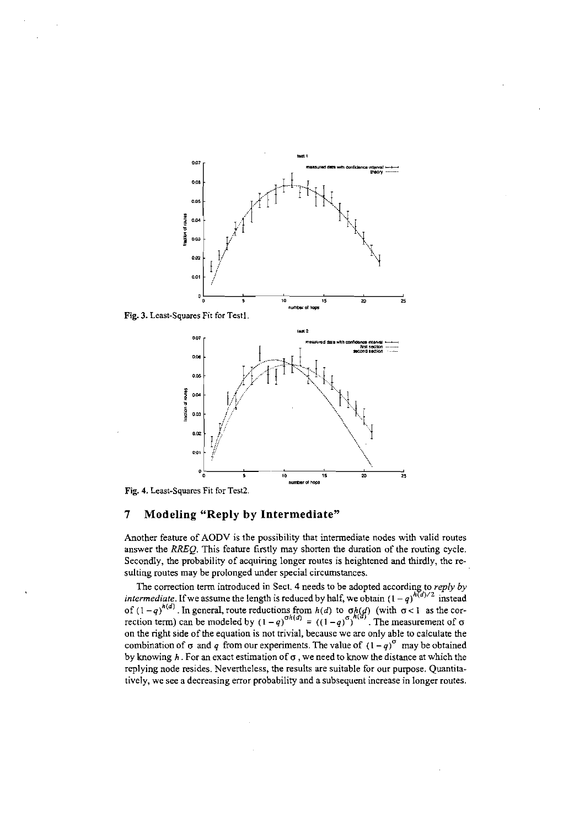

**Fig. 3.** Least-Squares Fit for Testl.



**Fig. 4.** Least-Squares Fit for Test2.

# **7 Modeling "Reply by Intermediate"**

Another feature of AODV is the possibility that intermediate nodes with valid routes answer the **RREQ.** This feature firstly may shorten the duration of the routing cycle. Secondly, the probability of acquiring longer routes is heightened and thirdly, the resulting routes may be prolonged under special circumstances.

The correction term introduced in Sect. 4 needs to be adopted according to *reply by intermediate*. If we assume the length is reduced by half, we obtain  $(1 - q)^{h(d)/2}$  instead of  $(1-q)^{h(d)}$ . In general, route reductions from  $h(d)$  to  $\sigma_h^h(d)$  (with  $\sigma < 1$  as the cor $r(t - q)$  . In general, four reductions from  $h(a)$  to  $\partial h(b)$  (with  $0 \le t$  as the correction term) can be modeled by  $(1 - q)^{\sigma}$   $h(d) = ((1 - q)^{\sigma})^{h(d)}$ . The measurement of  $\sigma$ on the right side of the equation is not trivial, because we are only able to calculate the combination of  $\sigma$  and  $q$  from our experiments. The value of  $(1 - q)^{\sigma}$  may be obtained by knowing **h.** For an exact estimation of *o* , we need to know the distance at which the replying node resides. Nevertheless, the results are suitable for out purpose. Quantitatively, we see a decreasing error probability and a subsequent increase in longer routes.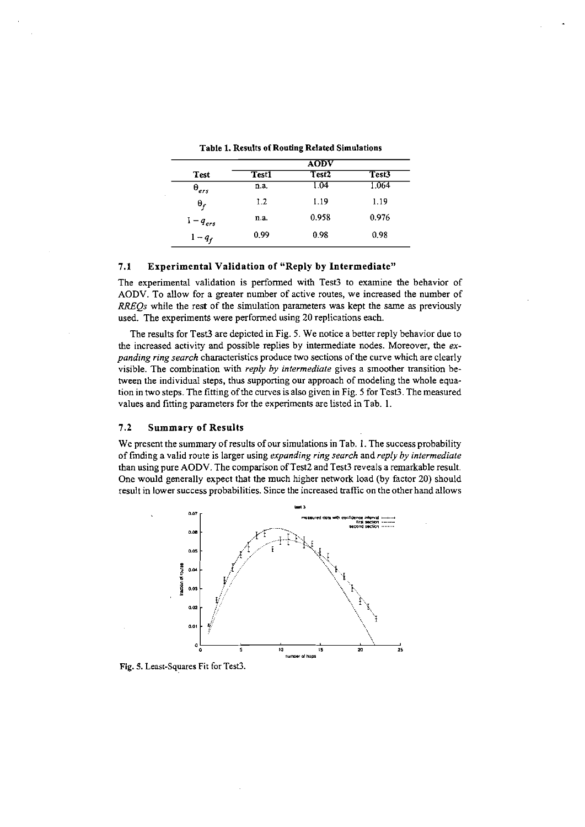|                | <b>AODV</b> |       |       |
|----------------|-------------|-------|-------|
| <b>Test</b>    | Test1       | Test2 | Test3 |
| $\theta_{ers}$ | n.a.        | 1.04  | 1.064 |
| θ,             | 1.2         | 1.19  | 1.19  |
| $1 - q_{ers}$  | n.a.        | 0.958 | 0.976 |
| $1-q_f$        | 0.99        | 0.98  | 0.98  |

#### Table 1. Results of Routing Related Simulations

#### **7.1** Experimental Validation of "Reply by Intermediate"

The experimental validation is perfomed with Test3 to examine the behavior of **AODV.** To allow for a greater number of active routes, we increased the number of *RREQs* while the rest of the simulation parameters was kept the same as previously used. The experiments were performed using 20 replications each.

The results for Test3 are depicted in Fig. 5. We notice a better reply behavior due to the increased activity and possible replies by intermediate nodes. Moreover, the *expanding ring search* characteristics produce two sections of the curve which are clearly visible. The combination with *reply by intermediate* gives a smoother transition between the individual steps, thus supporting our approach of modeling the whole equation in two steps. The fining of the curves is also givenin Fig. 5 for Test3. The measured values and fitting parameters for the experiments are listed in Tab. 1.

#### 7.2 Summary of Results

We present the summary of results of our simulations in Tab. 1. The success probability of fmding a valid route is larger using *expanding ring search* and *repiy by intermediale*  than using pure **AODV.** The comparison of Test2 and Test3 reveals **a** remarkable result. One would generally expect that the much higher network load (by factor 20) should result in lower success probabilities. Since the increased traffic on the other hand allows



Fig. 5. Least-Squares Fit for Test3.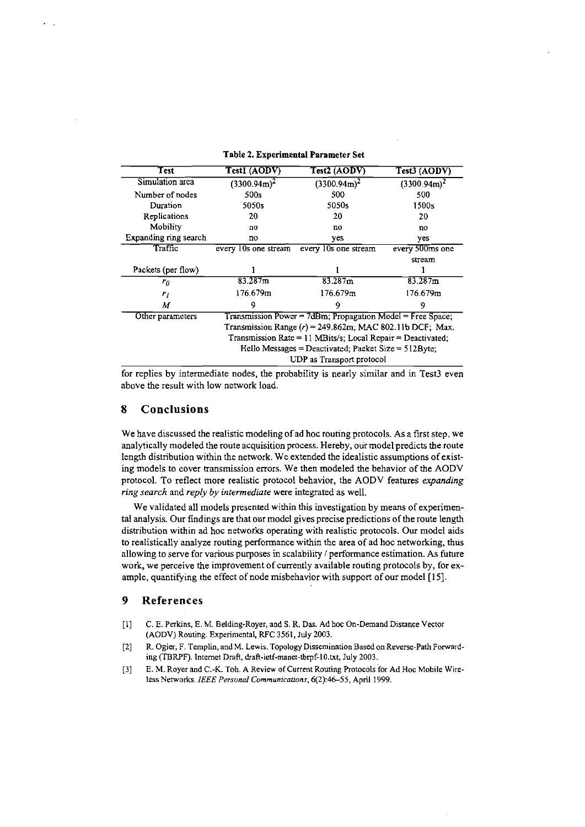| Test                  | Test1 (AODV)                                                  | Test2 (AODV)         | Test3 (AODV)    |  |
|-----------------------|---------------------------------------------------------------|----------------------|-----------------|--|
| Simulation area       | $(3300.94m)^2$                                                | $(3300.94m)^2$       | $(3300.94m)^2$  |  |
| Number of nodes       | 500s                                                          | 500                  | 500             |  |
| Duration              | 5050s                                                         | 5050s                | 1500s           |  |
| Replications          | 20                                                            | 20                   | 20              |  |
| Mobility              | no                                                            | n0                   | no              |  |
| Expanding ring search | no                                                            | yes                  | yes             |  |
| Traffic               | every 10s one stream                                          | every 10s one stream | every 500ms one |  |
|                       |                                                               |                      | stream          |  |
| Packets (per flow)    |                                                               |                      |                 |  |
| $r_0$                 | 83.287m                                                       | 83.287m              | 83.287m         |  |
| г,                    | 176.679m                                                      | 176.679m             | 176.679m        |  |
| М                     | 9                                                             | 9                    | 9               |  |
| Other parameters      | Transmission Power = 7dBm; Propagation Model = Free Space;    |                      |                 |  |
|                       | Transmission Range $(r) = 249.862$ m; MAC 802.11b DCF; Max.   |                      |                 |  |
|                       | Transmission Rate = $11$ MBits/s; Local Repair = Deactivated; |                      |                 |  |
|                       | Hello Messages = Deactivated; Paeket Size = $512B$ yte;       |                      |                 |  |
|                       | UDP as Transport protocol                                     |                      |                 |  |

# Table 2. Experimental Parameter Set

for replies by intermediate nodes, the probability is nearly similar and in Test3 even above the result with low network load.

# **8 Conclusions**

We have discussed the realistic modeling of ad hoc routing protocols. As a first step, we analytically modeled the route acquisition process. Hereby, our model predicts the route length distribution within the network. We extended the idealistic assumptions of existing models to cover transmission errors. We then modeled the behavior of the AODV protocol. To reflect more realistic protocol behavior, the AODV features *expanding ringsearch* and *reply by intermediate* were integrated as well.

We validated all models presented within this investigation by means of experimental analysis. Our findings are that our model gives precise predictions of the route length distribution within ad hoc networks operating with realistic protocols. Our model aids to realistically analyze routing perfonnance within the area of ad hoc networking, thus allowing to serve for various purposes in scalability / performance estimation. As future work, we perceive the improvement of currently available routing protocols by, for example, quantifying the effect of node misbehavior with support of our model [15].

# **9 References**

- [1] C. E. Perkins, E. M. Belding-Royer, and S. R. Das. Ad hoc On-Demand Distance Vector (AODV) Routing. Experimental, RFC 3561, luly 2003.
- [2] R. Ogier, F. Templin, and M. Lewis. Topology Dissemination Based on Reverse-Path Forwarding (TBRPF). lntemet Drait, **draft-ietf-manet-tbrpf-LO.trt,** July 2003.
- **[3]** E. M. Royer and C.-K. Toh. **A** Review of Cunent Rouring Protocols for Ad Hoc Mobile Wireless Networks. *IEEE Personal Communications*, 6(2):46-55, April 1999.